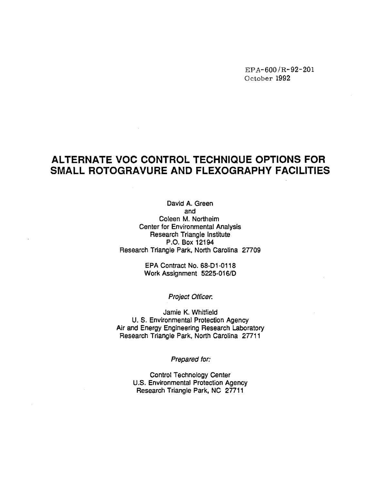EPA-600 /R-92-201 October 1992

# **ALTERNATE voe CONTROL TECHNIQUE OPTIONS FOR SMALL ROTOGRAVURE AND FLEXOGRAPHV FACILITIES**

David A. Green and Coleen M. Northeim Center for Environmental Analysis Research Triangle Institute P.O. Box 12194 Research Triangle Park, North Carolina 27709

> EPA Contract No. 68-01-0118 Work Assignment 5225-016/D

> > Project Officer.

Jamie K. Whitfield U.S. Environmental Protection Agency Air and Energy Engineering Research Laboratory Research Triangle Park, North Carolina 27711

Prepared for:

Control Technology Center U.S. Environmental Protection Agency Research Triangle Park, NC 27711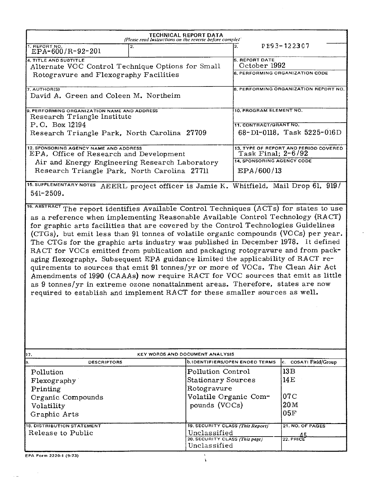|                                                                                                                                                                                                                                                                                                                                                                                                                                                                                                                                                                                                                                                                                                                                                                                                                                                                  | TECHNICAL REPORT DATA<br>(Please read Instructions on the reverse before complet) |                                  |                       |                                                                 |  |  |  |  |
|------------------------------------------------------------------------------------------------------------------------------------------------------------------------------------------------------------------------------------------------------------------------------------------------------------------------------------------------------------------------------------------------------------------------------------------------------------------------------------------------------------------------------------------------------------------------------------------------------------------------------------------------------------------------------------------------------------------------------------------------------------------------------------------------------------------------------------------------------------------|-----------------------------------------------------------------------------------|----------------------------------|-----------------------|-----------------------------------------------------------------|--|--|--|--|
| 1. REPORT NO.<br>EPA-600/R-92-201                                                                                                                                                                                                                                                                                                                                                                                                                                                                                                                                                                                                                                                                                                                                                                                                                                | 2.                                                                                |                                  | З.                    | PE93-122307                                                     |  |  |  |  |
| 4. TITLE AND SUBTITLE                                                                                                                                                                                                                                                                                                                                                                                                                                                                                                                                                                                                                                                                                                                                                                                                                                            |                                                                                   |                                  | <b>5. REPORT DATE</b> |                                                                 |  |  |  |  |
| Alternate VOC Control Technique Options for Small                                                                                                                                                                                                                                                                                                                                                                                                                                                                                                                                                                                                                                                                                                                                                                                                                |                                                                                   |                                  |                       | October 1992<br>6, PERFORMING ORGANIZATION CODE                 |  |  |  |  |
| Rotogravure and Flexography Facilities                                                                                                                                                                                                                                                                                                                                                                                                                                                                                                                                                                                                                                                                                                                                                                                                                           |                                                                                   |                                  |                       |                                                                 |  |  |  |  |
| 7. AUTHOR(S)                                                                                                                                                                                                                                                                                                                                                                                                                                                                                                                                                                                                                                                                                                                                                                                                                                                     |                                                                                   |                                  |                       | 8. PERFORMING ORGANIZATION REPDRT NO.                           |  |  |  |  |
|                                                                                                                                                                                                                                                                                                                                                                                                                                                                                                                                                                                                                                                                                                                                                                                                                                                                  | David A. Green and Coleen M. Northeim                                             |                                  |                       |                                                                 |  |  |  |  |
|                                                                                                                                                                                                                                                                                                                                                                                                                                                                                                                                                                                                                                                                                                                                                                                                                                                                  |                                                                                   |                                  |                       | 10. PROGRAM ELEMENT NO.                                         |  |  |  |  |
| Research Triangle Institute                                                                                                                                                                                                                                                                                                                                                                                                                                                                                                                                                                                                                                                                                                                                                                                                                                      | 9. PERFORMING ORGANIZATION NAME AND ADDRESS                                       |                                  |                       |                                                                 |  |  |  |  |
| P.O. Box 12194                                                                                                                                                                                                                                                                                                                                                                                                                                                                                                                                                                                                                                                                                                                                                                                                                                                   |                                                                                   |                                  |                       | 11. CONTRACT/GRANT NO.                                          |  |  |  |  |
| Research Triangle Park, North Carolina 27709                                                                                                                                                                                                                                                                                                                                                                                                                                                                                                                                                                                                                                                                                                                                                                                                                     |                                                                                   |                                  |                       | 68-D1-0118, Task 5225-016D                                      |  |  |  |  |
|                                                                                                                                                                                                                                                                                                                                                                                                                                                                                                                                                                                                                                                                                                                                                                                                                                                                  |                                                                                   |                                  |                       |                                                                 |  |  |  |  |
| 12. SPONSORING AGENCY NAME AND ADDRESS<br>EPA, Office of Research and Development                                                                                                                                                                                                                                                                                                                                                                                                                                                                                                                                                                                                                                                                                                                                                                                |                                                                                   |                                  |                       | 13. TYPE OF REPORT AND PERIOD COVERED<br>Task Final; 2-6/92     |  |  |  |  |
| Air and Energy Engineering Research Laboratory                                                                                                                                                                                                                                                                                                                                                                                                                                                                                                                                                                                                                                                                                                                                                                                                                   |                                                                                   |                                  |                       | <b>14. SPONSORING AGENCY CODE</b>                               |  |  |  |  |
| Research Triangle Park, North Carolina 27711                                                                                                                                                                                                                                                                                                                                                                                                                                                                                                                                                                                                                                                                                                                                                                                                                     |                                                                                   |                                  | EPA/600/13            |                                                                 |  |  |  |  |
| <b>15. SUPPLEMENTARY NOTES</b>                                                                                                                                                                                                                                                                                                                                                                                                                                                                                                                                                                                                                                                                                                                                                                                                                                   |                                                                                   |                                  |                       | AEERL project officer is Jamie K. Whitfield, Mail Drop 61, 919/ |  |  |  |  |
| $541 - 2509.$                                                                                                                                                                                                                                                                                                                                                                                                                                                                                                                                                                                                                                                                                                                                                                                                                                                    |                                                                                   |                                  |                       |                                                                 |  |  |  |  |
| as a reference when implementing Reasonable Available Control Technology (RACT)<br>for graphic arts facilities that are covered by the Control Technologies Guidelines<br>(CTGs), but emit less than 91 tonnes of volatile organic compounds (VOCs) per year.<br>The CTGs for the graphic arts industry was published in December 1978. It defined<br>RACT for VOCs emitted from publication and packaging rotogravure and from pack-<br>aging flexography. Subsequent EPA guidance limited the applicability of RACT re-<br>quirements to sources that emit 91 tonnes/yr or more of VOCs. The Clean Air Act<br>Amendments of 1990 (CAAAs) now require RACT for VOC sources that emit as little<br>as 9 tonnes/yr in extreme ozone nonattainment areas. Therefore, states are now<br>required to establish and implement RACT for these smaller sources as well. |                                                                                   |                                  |                       |                                                                 |  |  |  |  |
| 17.                                                                                                                                                                                                                                                                                                                                                                                                                                                                                                                                                                                                                                                                                                                                                                                                                                                              |                                                                                   | KEY WORDS AND DOCUMENT ANALYSIS  |                       |                                                                 |  |  |  |  |
| la.<br><b>DESCRIPTORS</b>                                                                                                                                                                                                                                                                                                                                                                                                                                                                                                                                                                                                                                                                                                                                                                                                                                        |                                                                                   | b.IDENTIFIERS/OPEN ENDED TERMS   |                       | COSATI Field/Group<br>c.                                        |  |  |  |  |
| Pollution                                                                                                                                                                                                                                                                                                                                                                                                                                                                                                                                                                                                                                                                                                                                                                                                                                                        |                                                                                   | Pollution Control                |                       | 13B                                                             |  |  |  |  |
| Flexography                                                                                                                                                                                                                                                                                                                                                                                                                                                                                                                                                                                                                                                                                                                                                                                                                                                      |                                                                                   | <b>Stationary Sources</b>        |                       | 14E                                                             |  |  |  |  |
| Printing                                                                                                                                                                                                                                                                                                                                                                                                                                                                                                                                                                                                                                                                                                                                                                                                                                                         |                                                                                   | Rotogravure                      |                       |                                                                 |  |  |  |  |
| Organic Compounds                                                                                                                                                                                                                                                                                                                                                                                                                                                                                                                                                                                                                                                                                                                                                                                                                                                |                                                                                   | Volatile Organic Com-            |                       | 07C                                                             |  |  |  |  |
| Volatility                                                                                                                                                                                                                                                                                                                                                                                                                                                                                                                                                                                                                                                                                                                                                                                                                                                       |                                                                                   | pounds (VOCs)                    |                       | 20 <sub>M</sub>                                                 |  |  |  |  |
| Graphic Arts                                                                                                                                                                                                                                                                                                                                                                                                                                                                                                                                                                                                                                                                                                                                                                                                                                                     |                                                                                   |                                  |                       | 05F                                                             |  |  |  |  |
| <b>18. DISTRIBUTION STATEMENT</b>                                                                                                                                                                                                                                                                                                                                                                                                                                                                                                                                                                                                                                                                                                                                                                                                                                |                                                                                   | 19. SECURITY CLASS (This Report) |                       | 21. NO. OF PAGES                                                |  |  |  |  |
| Release to Public                                                                                                                                                                                                                                                                                                                                                                                                                                                                                                                                                                                                                                                                                                                                                                                                                                                |                                                                                   | Unclassified                     |                       |                                                                 |  |  |  |  |
|                                                                                                                                                                                                                                                                                                                                                                                                                                                                                                                                                                                                                                                                                                                                                                                                                                                                  |                                                                                   | 20. SECURITY CLASS (This page)   |                       | <b>22. PRIC</b>                                                 |  |  |  |  |

EPA Form 2220·1 (9·73)

 $\sim$   $\sim$ 

 $\sim$   $\sim$ 

Unclassified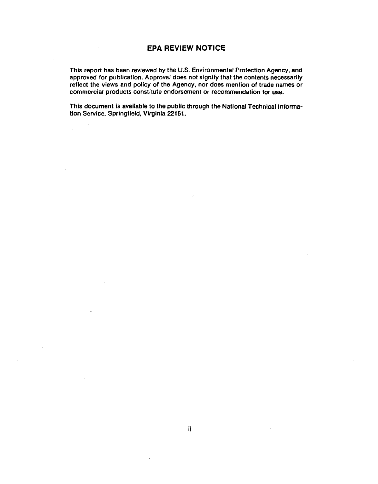### **EPA REVIEW NOTICE**

This report has been reviewed by the U.S. Environmental Protection Agency, and approved for publication. Approval does not signify that the contents necessarily reflect the views and policy of the Agency, nor does mention of trade names or commercial products constitute endorsement or recommendation for use.

This document is available to the public through the National Technical Information Service, Springfield, Virginia 22161.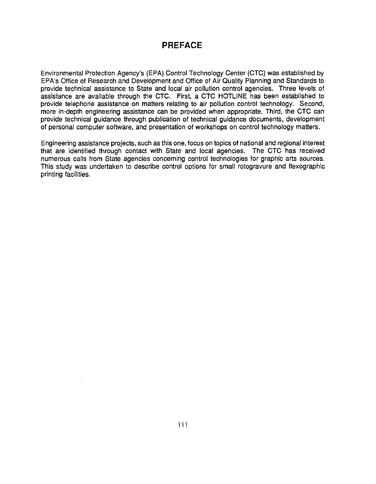## **PREFACE**

Environmental Protection Agency's (EPA) Control Technology Center (CTC) was established by EPA's Office of Research and Development and Office of Air Quality Planning and Standards to provide technical assistance to State and local air pollution control agencies. Three levels of assistance are available through the CTC. First, a CTC HOTLINE has been established to provide telephone assistance on matters relating to air pollution control technology. Second, more in-depth engineering assistance can be provided when appropriate. Third, the CTC can provide technical guidance through publication of technical guidance documents, development of personal computer software, and presentation of workshops on control technology matters.

Engineering assistance projects, such as this one, focus on topics of national and regional interest that are identified through contact with State and local agencies. The CTC has received numerous calls from State agencies concerning control technologies for graphic arts sources. This study was undertaken to describe control options for small rotogravure and flexographic printing facilities.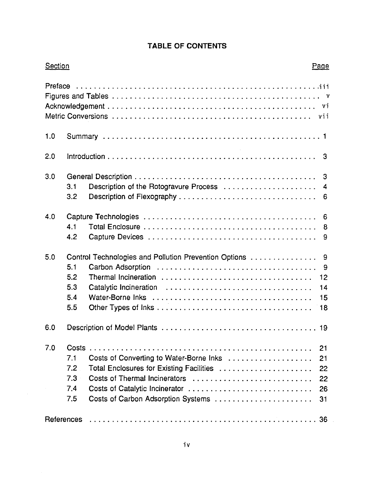# **TABLE OF CONTENTS**

| Preface |       |                                                       |  |
|---------|-------|-------------------------------------------------------|--|
|         |       |                                                       |  |
|         |       |                                                       |  |
|         |       |                                                       |  |
| 1.0     |       |                                                       |  |
| 2.0     |       |                                                       |  |
| 3.0     |       |                                                       |  |
|         | 3.1   | Description of the Rotogravure Process                |  |
|         | 3.2   |                                                       |  |
| 4.0     |       |                                                       |  |
|         | 4.1   |                                                       |  |
|         | 4.2   |                                                       |  |
| 5.0     |       | Control Technologies and Pollution Prevention Options |  |
|         | 5.1   |                                                       |  |
|         | 5.2   |                                                       |  |
|         | 5.3   |                                                       |  |
|         | 5.4   |                                                       |  |
|         | 5.5   |                                                       |  |
| 6.0     |       |                                                       |  |
| 7.0     | Costs |                                                       |  |
|         | 7.1   |                                                       |  |
|         | 7.2   | Total Enclosures for Existing Facilities              |  |
|         | 7.3   | Costs of Thermal Incinerators                         |  |
|         | 7.4   |                                                       |  |
|         | 7.5   | Costs of Carbon Adsorption Systems                    |  |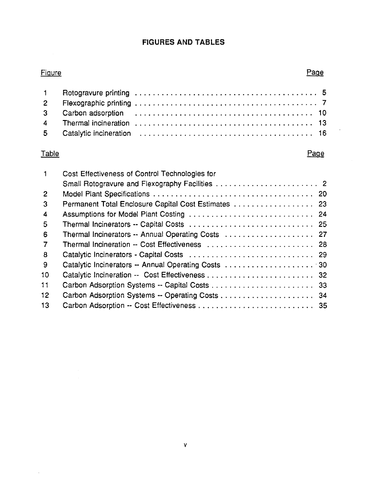## **FIGURES AND TABLES**

# **Figure**

# Page

# Table

 $\sim$ 

## Page

 $\bar{z}$ 

| $\mathbf{1}$            | Cost Effectiveness of Control Technologies for       |  |
|-------------------------|------------------------------------------------------|--|
|                         |                                                      |  |
| $\overline{2}$          |                                                      |  |
| 3                       | Permanent Total Enclosure Capital Cost Estimates  23 |  |
| $\overline{\mathbf{4}}$ | Assumptions for Model Plant Costing  24              |  |
| 5                       |                                                      |  |
| 6                       | Thermal Incinerators -- Annual Operating Costs  27   |  |
| $\overline{7}$          | Thermal Incineration -- Cost Effectiveness  28       |  |
| $\mathbf{8}$            |                                                      |  |
| 9                       | Catalytic Incinerators -- Annual Operating Costs 30  |  |
| 10                      |                                                      |  |
| 11                      |                                                      |  |
| 12 <sub>1</sub>         |                                                      |  |
| 13                      |                                                      |  |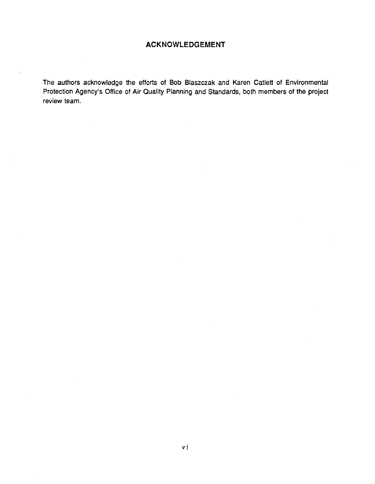## **ACKNOWLEDGEMENT**

The authors acknowledge the efforts of Bob Blaszczak and Karen Catlett of Environmental Protection Agency's Office of Air Quality Planning and Standards, both members of the project review team.

 $\sim$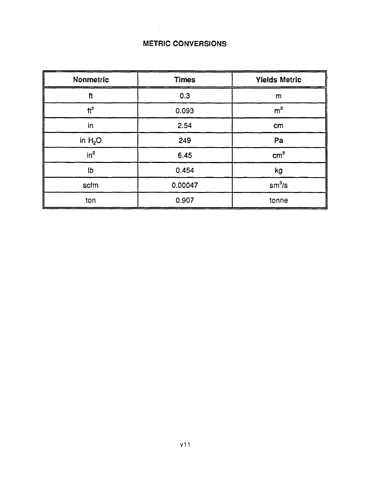# METRIC CONVERSIONS

 $\bar{z}$ 

| Nonmetric       | <b>Times</b> | <b>Yields Metric</b> |
|-----------------|--------------|----------------------|
| $1$             | 0.3          | m                    |
| $\text{ft}^2$   | 0.093        | m <sup>2</sup>       |
| in              | 2.54         | cm                   |
| in $H_2O$       | 249          | Pa                   |
| in <sup>2</sup> | 6.45         | cm <sup>2</sup>      |
| lb              | 0.454        | kg                   |
| scfm            | 0.00047      | $sm^3/s$             |
| ton             | 0.907        | tonne                |

 $\bar{\mathcal{L}}$ 

÷.

 $\bar{z}$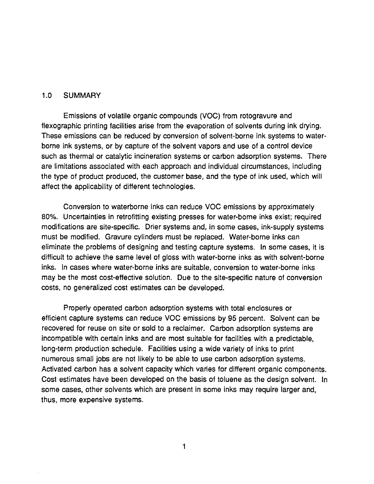#### 1.0 SUMMARY

Emissions of volatile organic compounds (VOC) from rotogravure and flexographic printing facilities arise from the evaporation of solvents during ink drying. These emissions can be reduced by conversion of solvent-borne ink systems to waterborne ink systems, or by capture of the solvent vapors and use of a control device such as thermal or catalytic incineration systems or carbon adsorption systems. There are limitations associated with each approach and individual circumstances, including the type of product produced, the customer base, and the type of ink used, which will affect the applicability of different technologies.

Conversion to waterborne inks can reduce VOC emissions by approximately 80%. Uncertainties in retrofitting existing presses for water-borne inks exist; required modifications are site-specific. Drier systems and, in some cases, ink-supply systems must be modified. Gravure cylinders must be replaced. Water-borne inks can eliminate the problems of designing and testing capture systems. In some cases, it is difficult to achieve the same level of gloss with water-borne inks as with solvent-borne inks. In cases where water-borne inks are suitable, conversion to water-borne inks may be the most cost-effective solution. Due to the site-specific nature of conversion costs, no generalized cost estimates can be developed.

Properly operated carbon adsorption systems with total enclosures or efficient capture systems can reduce VOC emissions by 95 percent. Solvent can be recovered for reuse on site or sold to a reclaimer. Carbon adsorption systems are incompatible with certain inks and are most suitable for facilities with a predictable, long-term production schedule. Facilities using a wide variety of inks to print numerous small jobs are not likely to be able to use carbon adsorption systems. Activated carbon has a solvent capacity which varies for different organic components. Cost estimates have been developed on the basis of toluene as the design solvent. In some cases, other solvents which are present in some inks may require larger and, thus, more expensive systems.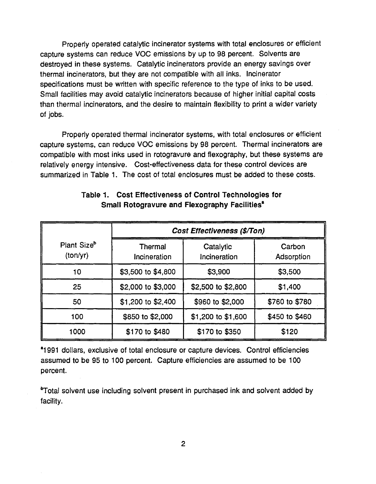Properly operated catalytic incinerator systems with total enclosures or efficient capture systems can reduce VOC emissions by up to 98 percent. Solvents are destroyed in these systems. Catalytic incinerators provide an energy savings over thermal incinerators, but they are not compatible with all inks. Incinerator specifications must be written with specific reference to the type of inks to be used. Small facilities may avoid catalytic incinerators because of higher initial capital costs than thermal incinerators, and the desire to maintain flexibility to print a wider variety of jobs.

Properly operated thermal incinerator systems, with total enclosures or efficient capture systems, can reduce VOC emissions by 98 percent. Thermal incinerators are compatible with most inks used in rotogravure and flexography, but these systems are relatively energy intensive. Cost-effectiveness data for these control devices are summarized in Table 1. The cost of total enclosures must be added to these costs.

|                                     | Cost Effectiveness (\$/Ton) |                           |                      |  |  |  |  |  |  |
|-------------------------------------|-----------------------------|---------------------------|----------------------|--|--|--|--|--|--|
| Plant Size <sup>b</sup><br>(ton/yr) | Thermal<br>Incineration     | Catalytic<br>Incineration | Carbon<br>Adsorption |  |  |  |  |  |  |
| 10                                  | \$3,500 to \$4,800          | \$3,900                   | \$3,500              |  |  |  |  |  |  |
| 25                                  | \$2,000 to \$3,000          | \$2,500 to \$2,800        | \$1,400              |  |  |  |  |  |  |
| 50                                  | \$1,200 to \$2,400          | \$960 to \$2,000          | \$760 to \$780       |  |  |  |  |  |  |
| 100                                 | \$850 to \$2,000            | \$1,200 to \$1,600        | \$450 to \$460       |  |  |  |  |  |  |
| 1000                                | \$170 to \$480              | \$170 to \$350            | \$120                |  |  |  |  |  |  |

## Table 1. Cost Effectiveness of Control Technologies for Small Rotogravure and Flexography Facilities<sup>a</sup>

•1991 dollars, exclusive of total enclosure or capture devices. Control efficiencies assumed to be 95 to 100 percent. Capture efficiencies are assumed to be 100 percent.

~otal solvent use including solvent present in purchased ink and solvent added by facility.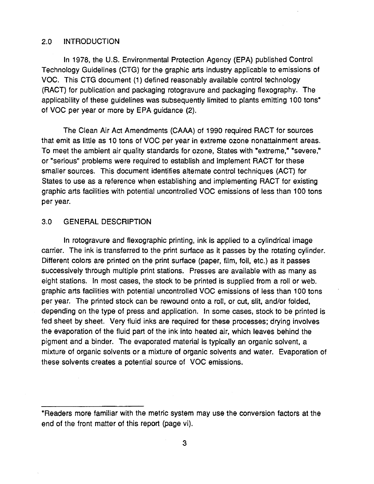#### 2.0 INTRODUCTION

In 1978, the U.S. Environmental Protection Agency (EPA) published Control Technology Guidelines (CTG) for the graphic arts industry applicable to emissions of voe. This CTG document (1) defined reasonably available control technology (RACT) for publication and packaging rotogravure and packaging flexography. The applicability of these guidelines was subsequently limited to plants emitting 100 tons\* of VOC per year or more by EPA guidance (2).

The Clean Air Act Amendments (CAAA) of 1990 required RACT for sources that emit as little as 10 tons of VOC per year in extreme ozone nonattainment areas. To meet the ambient air quality standards for ozone, States with "extreme," "severe," or "serious" problems were required to establish and implement RACT for these smaller sources. This document identifies alternate control techniques (ACT) for States to use as a reference when establishing and implementing RACT for existing graphic arts facilities with potential uncontrolled VOC emissions of less than 100 tons per year.

### 3.0 GENERAL DESCRIPTION

In rotogravure and flexographic printing, ink is applied to a cylindrical image carrier. The ink is transferred to the print surface as it passes by the rotating cylinder. Different colors are printed on the print surface (paper, film, foil, etc.) as it passes successively through multiple print stations. Presses are available with as many as eight stations. In most cases, the stock to be printed is supplied from a roll or web. graphic arts facilities with potential uncontrolled VOC emissions of less than 100 tons per year. The printed stock can be rewound onto a roll, or cut, slit, and/or folded, depending on the type of press and application. In some cases, stock to be printed is fed sheet by sheet. Very fluid inks are required for these processes; drying involves the evaporation of the fluid part of the ink into heated air, which leaves behind the pigment and a binder. The evaporated material is typically an organic solvent, a mixture of organic solvents or a mixture of organic solvents and water. Evaporation of these solvents creates a potential source of VOC emissions.

<sup>\*</sup>Readers more familiar with the metric system may use the conversion factors at the end of the front matter of this report (page vi).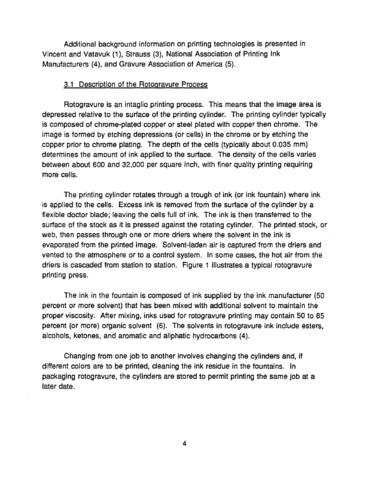Additional background information on printing technologies is presented in Vincent and Vatavuk (1), Strauss (3), National Association of Printing Ink Manufacturers (4), and Gravure Association of America (5).

#### 3.1 Description of the Rotogravure Process

Rotogravure is an intaglio printing process. This means that the image area is depressed relative to the surface of the printing cylinder. The printing cylinder typically is composed of chrome-plated copper or steel plated with copper then chrome. The image is formed by etching depressions (or cells) in the chrome or by etching the copper prior to chrome plating. The depth of the cells (typically about 0.035 mm) determines the amount of ink applied to the surface. The density of the cells varies between about 600 and 32,000 per square inch, with finer quality printing requiring more cells.

The printing cylinder rotates through a trough of ink (or ink fountain) where ink is applied to the cells. Excess ink is removed from the surface of the cylinder by a flexible doctor blade; leaving the cells full of ink. The ink is then transferred to the surface of the stock as it is pressed against the rotating cylinder. The printed stock, or web, then passes through one or more driers where the solvent in the ink is evaporated from the printed image. Solvent-laden air is captured from the driers and vented to the atmosphere or to a control system. In some cases, the hot air from the driers is cascaded from station to station. Figure 1 illustrates a typical rotogravure printing press.

The ink in the fountain is composed of ink supplied by the ink manufacturer (50 percent or more solvent) that has been mixed with additional solvent to maintain the proper viscosity. After mixing, inks used for rotogravure printing may contain 50 to 85 percent (or more) organic solvent (6). The solvents in rotogravure ink include esters, alcohols, ketones, and aromatic and aliphatic hydrocarbons (4).

Changing from one job to another involves changing the cylinders and, if different colors are to be printed, cleaning the ink residue in the fountains. In packaging rotogravure, the cylinders are stored to permit printing the same job at a later date.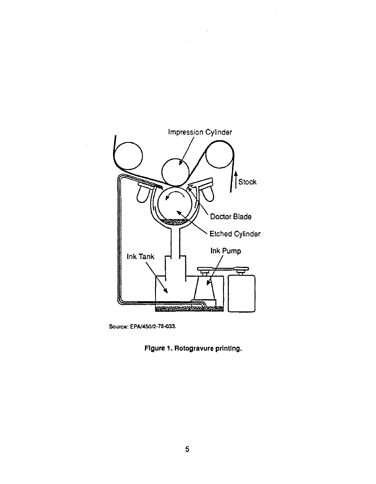

Source: EPAl450/2-78-033.

Figure 1. Rotogravure printing.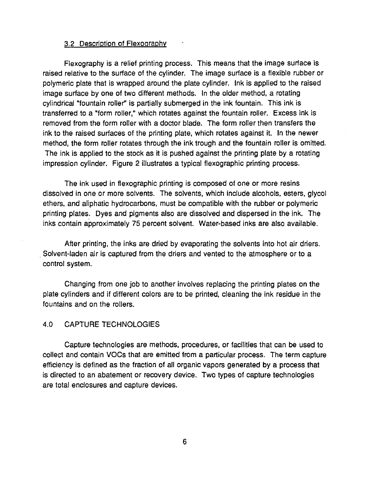#### 3.2 Description of Flexography

Flexography is a relief printing process. This means that the image surface is raised relative to the surface of the cylinder. The image surface is a flexible rubber or polymeric plate that is wrapped around the plate cylinder. Ink is applied to the raised image surface by one of two different methods. In the older method, a rotating cylindrical "fountain roller" is partially submerged in the ink fountain. This ink is transferred to a "form roller," which rotates against the fountain roller. Excess ink is removed from the form roller with a doctor blade. The form roller then transfers the ink to the raised surfaces of the printing plate, which rotates against it. In the newer method, the form roller rotates through the ink trough and the fountain roller is omitted. The ink is applied to the stock as it is pushed against the printing plate by a rotating impression cylinder. Figure 2 illustrates a typical flexographic printing process.

The ink used in flexographic printing is composed of one or more resins dissolved in one or more solvents. The solvents, which include alcohols, esters, glycol ethers, and aliphatic hydrocarbons, must be compatible with the rubber or polymeric printing plates. Dyes and pigments also are dissolved and dispersed in the ink. The inks contain approximately 75 percent solvent. Water-based inks are also available.

After printing, the inks are dried by evaporating the solvents into hot air driers. . Solvent-laden air is captured from the driers and vented to the atmosphere or to a control system.

Changing from one job to another involves replacing the printing plates on the plate cylinders and if different colors are to be printed, cleaning the ink residue in the fountains and on the rollers.

## 4.0 CAPTURE TECHNOLOGIES

Capture technologies are methods, procedures, or facilities that can be used to collect and contain *voes* that are emitted from a particular process. The term capture efficiency is defined as the fraction of all organic vapors generated by a process that is directed to an abatement or recovery device. Two types of capture technologies are total enclosures and capture devices.

6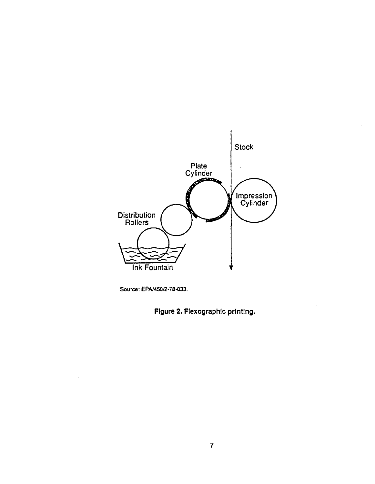

Source: EPA/45012-78-033.

 $\bar{z}$ 

Figure 2. Flexographlc printing.

 $\alpha$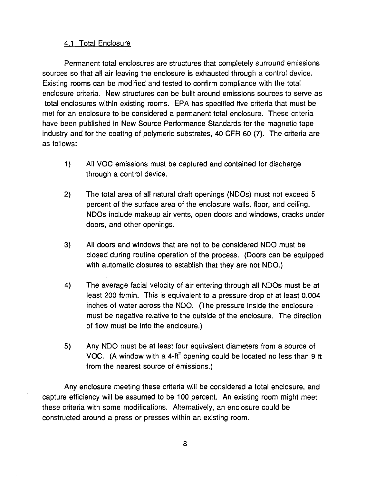## 4.1 Total Enclosure

Permanent total enclosures are structures that completely surround emissions sources so that all air leaving the enclosure is exhausted through a control device. Existing rooms can be modified and tested to confirm compliance with the total enclosure criteria. New structures can be built around emissions sources to serve as total enclosures within existing rooms. EPA has specified five criteria that must be met for an enclosure to be considered a permanent total enclosure. These criteria have been published in New Source Performance Standards for the magnetic tape industry and for the coating of polymeric substrates, 40 CFR 60 (7). The criteria are as follows:

- 1) All VOC emissions must be captured and contained for discharge through a control device.
- 2) The total area of all natural draft openings (NDOs) must not exceed 5 percent of the surface area of the enclosure walls, floor, and ceiling. NDOs include makeup air vents, open doors and windows, cracks under doors, and other openings.
- 3) All doors and windows that are not to be considered NDO must be closed during routine operation of the process. (Doors can be equipped with automatic closures to establish that they are not NDO.)
- 4) The average facial velocity of air entering through all NDOs must be at least 200 ft/min. This is equivalent to a pressure drop of at least 0.004 inches of water across the NDO. (The pressure inside the enclosure must be negative relative to the outside of the enclosure. The direction of flow must be into the enclosure.)
- 5) Any NDO must be at least four equivalent diameters from a source of VOC. (A window with a 4-ft<sup>2</sup> opening could be located no less than 9 ft from the nearest source of emissions.)

Any enclosure meeting these criteria will be considered a total enclosure, and capture efficiency will be assumed to be 100 percent. An existing room might meet these criteria with some modifications. Alternatively, an enclosure could be constructed around a press or presses within an existing room.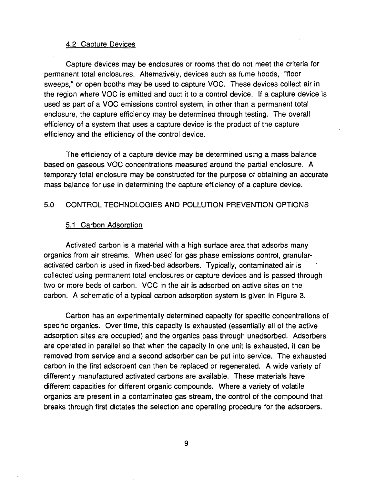#### 4.2 Capture Devices

Capture devices may be enclosures or rooms that do not meet the criteria for permanent total enclosures. Alternatively, devices such as fume hoods, "floor sweeps," or open booths may be used to capture VOC. These devices collect air in the region where VOC is emitted and duct it to a control device. If a capture device is used as part of a VOC emissions control system, in other than a permanent total enclosure, the capture efficiency may be determined through testing. The overall efficiency of a system that uses a capture device is the product of the capture efficiency and the efficiency of the control device.

The efficiency of a capture device may be determined using a mass balance based on gaseous VOC concentrations measured around the partial enclosure. A temporary total enclosure may be constructed for the purpose of obtaining an accurate mass balance for use in determining the capture efficiency of a capture device.

## 5.0 CONTROL TECHNOLOGIES AND POLLUTION PREVENTION OPTIONS

#### 5.1 Carbon Adsorption

Activated carbon is a material with a high surface area that adsorbs many organics from air streams. When used for gas phase emissions control, granularactivated carbon is used in fixed-bed adsorbers. Typically, contaminated air is collected using permanent total enclosures or capture devices and is passed through two or more beds of carbon. VOC in the air is adsorbed on active sites on the carbon. A schematic of a typical carbon adsorption system is given in Figure 3.

Carbon has an experimentally determined capacity for specific concentrations of specific organics. Over time, this capacity is exhausted (essentially all of the active adsorption sites are occupied) and the organics pass through unadsorbed. Adsorbers are operated in parallel so that when the capacity in one unit is exhausted, it can be removed from service and a second adsorber can be put into service. The exhausted carbon in the first adsorbent can then be replaced or regenerated. A wide variety of differently manufactured activated carbons are available. These materials have different capacities for different organic compounds. Where a variety of volatile organics are present in a contaminated gas stream, the control of the compound that breaks through first dictates the selection and operating procedure for the adsorbers.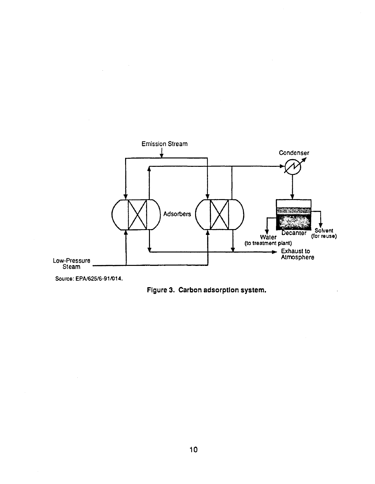

Source: EPA/62516-91/014.

 $\mathcal{A}_\mathrm{c}$ 

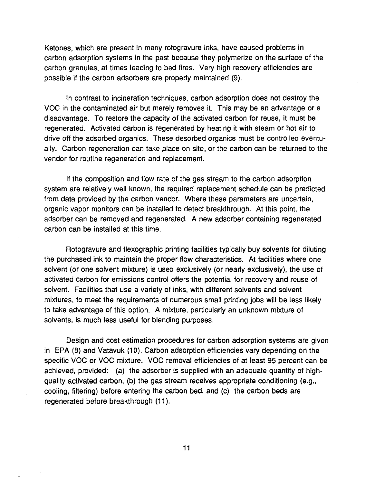Ketones, which are present in many rotogravure inks, have caused problems in carbon adsorption systems in the past because they polymerize on the surface of the carbon granules, at times leading to bed fires. Very high recovery efficiencies are possible if the carbon adsorbers are properly maintained (9).

In contrast to incineration techniques, carbon adsorption does not destroy the voe in the contaminated air but merely removes it. This may be an advantage or a disadvantage. To restore the capacity of the activated carbon for reuse, it must be regenerated. Activated carbon is regenerated by heating it with steam or hot air to drive off the adsorbed organics. These desorbed organics must be controlled eventually. Carbon regeneration can take place on site, or the carbon can be returned to the vendor for routine regeneration and replacement.

If the composition and flow rate of the gas stream to the carbon adsorption system are relatively well known, the required replacement schedule can be predicted from data provided by the carbon vendor. Where these parameters are uncertain, organic vapor monitors can be installed to detect breakthrough. At this point, the adsorber can be removed and regenerated. A new adsorber containing regenerated carbon can be installed at this time.

Rotogravure and flexographic printing facilities typically buy solvents for diluting the purchased ink to maintain the proper flow characteristics. At facilities where one solvent (or one solvent mixture) is used exclusively (or nearly exclusively), the use of activated carbon for emissions control offers the potential for recovery and reuse of solvent. Facilities that use a variety of inks, with different solvents and solvent mixtures, to meet the requirements of numerous small printing jobs will be less likely to take advantage of this option. A mixture, particularly an unknown mixture of solvents, is much less useful for blending purposes.

Design and cost estimation procedures for carbon adsorption systems are given in EPA (8) and Vatavuk (10). Carbon adsorption efficiencies vary depending on the specific VOC or VOC mixture. VOC removal efficiencies of at least 95 percent can be achieved, provided: (a) the adsorber is supplied with an adequate quantity of highquality activated carbon, (b) the gas stream receives appropriate conditioning (e.g., cooling, filtering) before entering the carbon bed, and (c) the carbon beds are regenerated before breakthrough (11).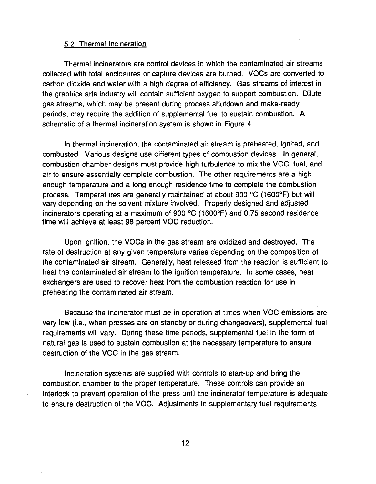#### 5.2 Thermal Incineration

Thermal incinerators are control devices in which the contaminated air streams collected with total enclosures or capture devices are burned. VOCs are converted to carbon dioxide and water with a high degree of efficiency. Gas streams of interest in the graphics arts industry will contain sufficient oxygen to support combustion. Dilute gas streams, which may be present during process shutdown and make-ready periods, may require the addition of supplemental fuel to sustain combustion. A schematic of a thermal incineration system is shown in Figure 4.

In thermal incineration, the contaminated air stream is preheated, ignited, and combusted. Various designs use different types of combustion devices. In general, combustion chamber designs must provide high turbulence to mix the VOC, fuel, and air to ensure essentially complete combustion. The other requirements are a high enough temperature and a long enough residence time to complete the combustion process. Temperatures are generally maintained at about 900 °C (1600°F) but will vary depending on the solvent mixture involved. Properly designed and adjusted incinerators operating at a maximum of 900  $^{\circ}$ C (1600 $^{\circ}$ F) and 0.75 second residence time will achieve at least 98 percent VOC reduction.

Upon ignition, the VOCs in the gas stream are oxidized and destroyed. The rate of destruction at any given temperature varies depending on the composition of the contaminated air stream. Generally, heat released from the reaction is sufficient to heat the contaminated air stream to the ignition temperature. In some cases, heat exchangers are used to recover heat from the combustion reaction for use in preheating the contaminated air stream.

Because the incinerator must be in operation at times when VOC emissions are very low (i.e., when presses are on standby or during changeovers), supplemental fuel requirements will vary. During these time periods, supplemental fuel in the form of natural gas is used to sustain combustion at the necessary temperature to ensure destruction of the VOC in the gas stream.

Incineration systems are supplied with controls to start-up and bring the combustion chamber to the proper temperature. These controls can provide an interlock to prevent operation of the press until the incinerator temperature is adequate to ensure destruction of the VOC. Adjustments in supplementary fuel requirements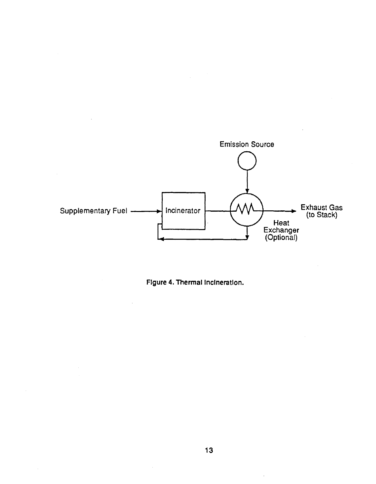

Figure 4. Thermal Incineration.

 $\bar{z}$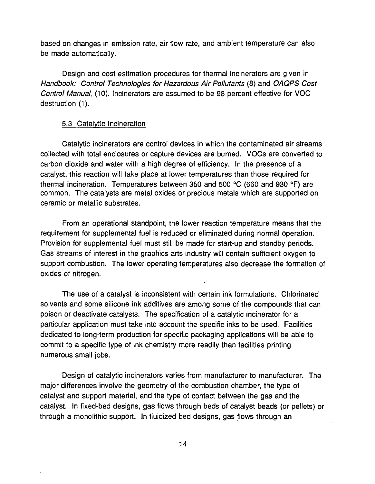based on changes in emission rate, air flow rate, and ambient temperature can also be made automatically.

Design and cost estimation procedures for thermal incinerators are given in Handbook: Control Technologies for Hazardous Air Pollutants (8) and OAOPS Cost Control Manual, (10). Incinerators are assumed to be 98 percent effective for VOC destruction (1).

### 5.3 Catalytic Incineration

Catalytic incinerators are control devices in which the contaminated air streams collected with total enclosures or capture devices are burned. VOCs are converted to carbon dioxide and water with a high degree of efficiency. In the presence of a catalyst, this reaction will take place at lower temperatures than those required for thermal incineration. Temperatures between 350 and 500 °C (660 and 930 °F) are common. The catalysts are metal oxides or precious metals which are supported on ceramic or metallic substrates.

From an operational standpoint, the lower reaction temperature means that the requirement for supplemental fuel is reduced or eliminated during normal operation. Provision for supplemental fuel must still be made for start-up and standby periods. Gas streams of interest in the graphics arts industry will contain sufficient oxygen to support combustion. The lower operating temperatures also decrease the formation of oxides of nitrogen.

The use of a catalyst is inconsistent with certain ink formulations. Chlorinated solvents and some silicone ink additives are among some of the compounds that can poison or deactivate catalysts. The specification of a catalytic incinerator for a particular application must take into account the specific inks to be used. Facilities dedicated to long-term production for specific packaging applications will be able to commit to a specific type of ink chemistry more readily than facilities printing numerous small jobs.

Design of catalytic incinerators varies from manufacturer to manufacturer. The major differences involve the geometry of the combustion chamber, the type of catalyst and support material, and the type of contact between the gas and the catalyst. In fixed-bed designs, gas flows through beds of catalyst beads (or pellets) or through a monolithic support. In fluidized bed designs, gas flows through an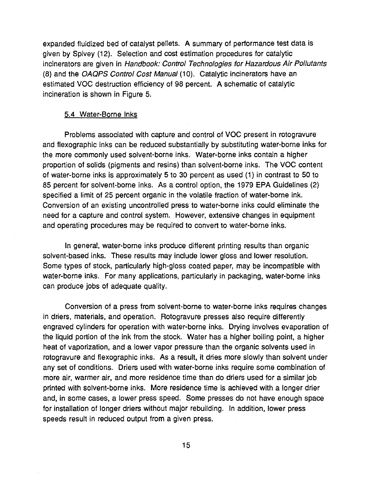expanded fluidized bed of catalyst pellets. A summary of performance test data is given by Spivey (12). Selection and cost estimation procedures for catalytic incinerators are given in Handbook: Control Technologies for Hazardous Air Pollutants (8) and the OAQPS Control Cost Manual (10). Catalytic incinerators have an estimated VOC destruction efficiency of 98 percent. A schematic of catalytic incineration is shown in Figure 5.

#### 5.4 Water-Borne Inks

Problems associated with capture and control of VOC present in rotogravure and flexographic inks can be reduced substantially by substituting water-borne inks for the more commonly used solvent-borne inks. Water-borne inks contain a higher proportion of solids (pigments and resins) than solvent-borne inks. The VOC content of water-borne inks is approximately 5 to 30 percent as used (1) in contrast to 50 to 85 percent for solvent-borne inks. As a control option, the 1979 EPA Guidelines (2) specified a limit of 25 percent organic in the volatile fraction of water-borne ink. Conversion of an existing uncontrolled press to water-borne inks could eliminate the need for a capture and control system. However, extensive changes in equipment and operating procedures may be required to convert to water-borne inks.

In general, water-borne inks produce different printing results than organic solvent-based inks. These results may include lower gloss and lower resolution. Some types of stock, particularly high-gloss coated paper, may be incompatible with water-borne inks. For many applications, particularly in packaging, water-borne inks can produce jobs of adequate quality.

Conversion of a press from solvent-borne to water-borne inks requires changes in driers, materials, and operation. Rotogravure presses also require differently engraved cylinders for operation with water-borne inks. Drying involves evaporation of the liquid portion of the ink from the stock. Water has a higher boiling point, a higher heat of vaporization, and a lower vapor pressure than the organic solvents used in rotogravure and flexographic inks. As a result, it dries more slowly than solvent under any set of conditions. Driers used with water-borne inks require some combination of more air, warmer air, and more residence time than do driers used for a similar job printed with solvent-borne inks. More residence time is achieved with a longer drier and, in some cases, a lower press speed. Some presses do not have enough space for installation of longer driers without major rebuilding. In addition, lower press speeds result in reduced output from a given press.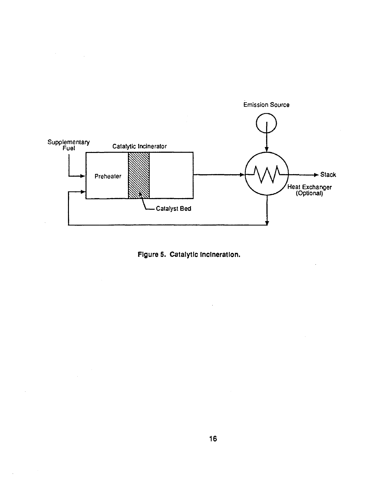

**Figure s. catalytic Incineration.**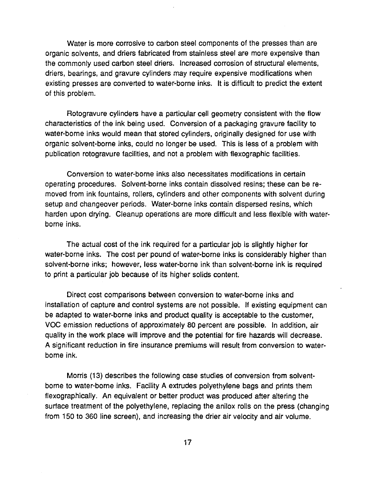Water is more corrosive to carbon steel components of the presses than are organic solvents, and driers fabricated from stainless steel are more expensive than the commonly used carbon steel driers. Increased corrosion of structural elements, driers, bearings, and gravure cylinders may require expensive modifications when existing presses are converted to water-borne inks. It is difficult to predict the extent of this problem.

Rotogravure cylinders have a particular cell geometry consistent with the flow characteristics of the ink being used. Conversion of a packaging gravure facility to water-borne inks would mean that stored cylinders, originally designed for use with organic solvent-borne inks, could no longer be used. This is less of a problem with publication rotogravure facilities, and not a problem with flexographic facilities.

Conversion to water-borne inks also necessitates modifications in certain operating procedures. Solvent-borne inks contain dissolved resins; these can be removed from ink fountains, rollers, cylinders and other components with solvent during setup and changeover periods. Water-borne inks contain dispersed resins, which harden upon drying. Cleanup operations are more difficult and less flexible with waterborne inks.

The actual cost of the ink required for a particular job is slightly higher for water-borne inks. The cost per pound of water-borne inks is considerably higher than solvent-borne inks; however, less water-borne ink than solvent-borne ink is required to print a particular job because of its higher solids content.

Direct cost comparisons between conversion to water-borne inks and installation of capture and control systems are not possible. If existing equipment can be adapted to water-borne inks and product quality is acceptable to the customer, VOC emission reductions of approximately 80 percent are possible. In addition, air quality in the work place will improve and the potential for fire hazards will decrease. A significant reduction in fire insurance premiums will result from conversion to waterborne ink.

Morris (13) describes the following case studies of conversion from solventborne to water-borne inks. Facility A extrudes polyethylene bags and prints them flexographically. An equivalent or better product was produced after altering the surface treatment of the polyethylene, replacing the anilox rolls on the press (changing from 150 to 360 line screen), and increasing the drier air velocity and air volume.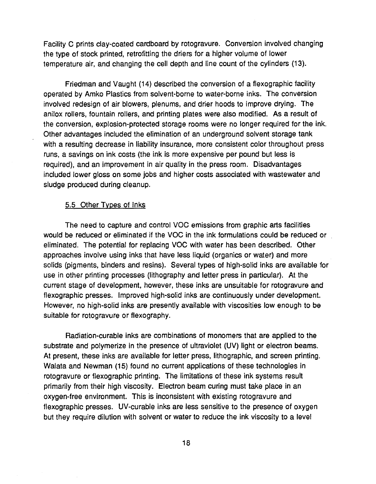Facility C prints clay-coated cardboard by rotogravure. Conversion involved changing the type of stock printed, retrofitting the driers for a higher volume of lower temperature air, and changing the cell depth and line count of the cylinders (13).

Friedman and Vaught (14) described the conversion of a flexographic facility operated by Amko Plastics from solvent-borne to water-borne inks. The conversion involved redesign of air blowers, plenums, and drier hoods to improve drying. The anilox rollers, fountain rollers, and printing plates were also modified. As a result of the conversion, explosion-protected storage rooms were no longer required for the ink. Other advantages included the elimination of an underground solvent storage tank with a resulting decrease in liability insurance, more consistent color throughout press runs, a savings on ink costs (the ink is more expensive per pound but less is required), and an improvement in air quality in the press room. Disadvantages included lower gloss on some jobs and higher costs associated with wastewater and sludge produced during cleanup.

#### 5.5 Other Types of Inks

The need to capture and control VOC emissions from graphic arts facilities would be reduced or eliminated if the VOC in the ink formulations could be reduced or eliminated. The potential for replacing VOC with water has been described. Other approaches involve using inks that have less liquid (organics or water) and more solids (pigments, binders and resins). Several types of high-solid inks are available for use in other printing processes (lithography and letter press in particular). At the current stage of development, however, these inks are unsuitable for rotogravure and flexographic presses. Improved high-solid inks are continuously under development. However, no high-solid inks are presently available with viscosities low enough to be suitable for rotogravure or flexography.

Radiation-curable inks are combinations of monomers that are applied to the substrate and polymerize in the presence of ultraviolet (UV) light or electron beams. At present, these inks are available for letter press, lithographic, and screen printing. Walata and Newman (15) found no current applications of these technologies in rotogravure or flexographic printing. The limitations of these ink systems result primarily from their high viscosity. Electron beam curing must take place in an oxygen-free environment. This is inconsistent with existing rotogravure and flexographic presses. UV-curable inks are less sensitive to the presence of oxygen but they require dilution with solvent or water to reduce the ink viscosity to a level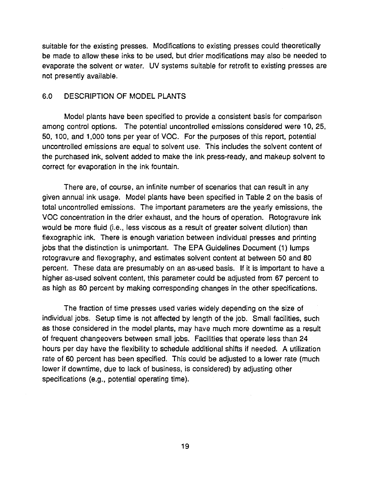suitable for the existing presses. Modifications to existing presses could theoretically be made to allow these inks to be used, but drier modifications may also be needed to evaporate the solvent or water. UV systems suitable for retrofit to existing presses are not presently available.

## 6.0 DESCRIPTION OF MODEL PLANTS

Model plants have been specified to provide a consistent basis for comparison among control options. The potential uncontrolled emissions considered were 10, 25, 50, 100, and 1,000 tons per year of VOC. For the purposes of this report, potential uncontrolled emissions are equal to solvent use. This includes the solvent content of the purchased ink, solvent added to make the ink press-ready, and makeup solvent to correct for evaporation in the ink fountain.

There are, of course, an infinite number of scenarios that can result in any given annual ink usage. Model plants have been specified in Table 2 on the basis of total uncontrolled emissions. The important parameters are the yearly emissions, the VOC concentration in the drier exhaust, and the hours of operation. Rotogravure ink would be more fluid (i.e., less viscous as a result of greater solvent dilution) than flexographic ink. There is enough variation between individual presses and printing jobs that the distinction is unimportant. The EPA Guidelines Document (1) lumps rotogravure and flexography, and estimates solvent content at between 50 and 80 percent. These data are presumably on an as-used basis. If it is important to have a higher as-used solvent content, this parameter could be adjusted from 67 percent to as high as 80 percent by making corresponding changes in the other specifications.

The fraction of time presses used varies widely depending on the size of individual jobs. Setup time is not affected by length of the job. Small facilities, such as those considered in the model plants, may have much more downtime as a result of frequent changeovers between small jobs. Facilities that operate less than 24 hours per day have the flexibility to schedule additional shifts if needed. A utilization rate of 60 percent has been specified. This could be adjusted to a lower rate (much lower if downtime, due to lack of business, is considered) by adjusting other specifications (e.g., potential operating time).

19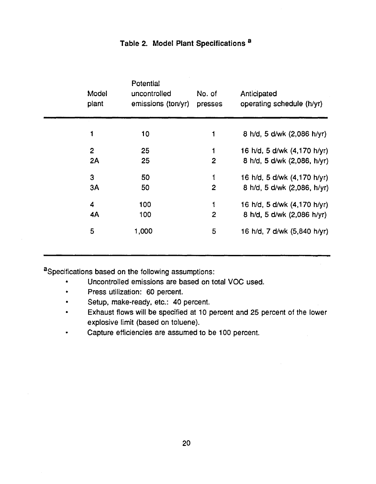| Model<br>plant | Potential<br>uncontrolled<br>emissions (ton/yr) | No. of<br>presses | Anticipated<br>operating schedule (h/yr) |
|----------------|-------------------------------------------------|-------------------|------------------------------------------|
| 1              | 10                                              | 1                 | 8 h/d, 5 d/wk (2,086 h/yr)               |
| $\mathbf{2}$   | 25                                              | 1                 | 16 h/d, 5 d/wk (4,170 h/yr)              |
| 2A             | 25                                              | $\overline{2}$    | 8 h/d, 5 d/wk (2,086, h/yr)              |
| 3              | 50                                              | 1                 | 16 h/d, 5 d/wk (4,170 h/yr)              |
| 3A             | 50                                              | $\mathbf{2}$      | 8 h/d, 5 d/wk (2,086, h/yr)              |
| 4              | 100                                             | 1                 | 16 h/d, 5 d/wk (4,170 h/yr)              |
| <b>4A</b>      | 100                                             | $\overline{2}$    | 8 h/d, 5 d/wk (2,086 h/yr)               |
| 5              | 1,000                                           | 5                 | 16 h/d, 7 d/wk (5,840 h/yr)              |

# Table 2. Model Plant Specifications<sup>a</sup>

aSpecifications based on the following assumptions:

- Uncontrolled emissions are based on total VOC used.
- Press utilization: 60 percent.
- Setup, make-ready, etc.: 40 percent.
- Exhaust flows will be specified at 10 percent and 25 percent of the lower explosive limit (based on toluene).
- Capture efficiencies are assumed to be 100 percent.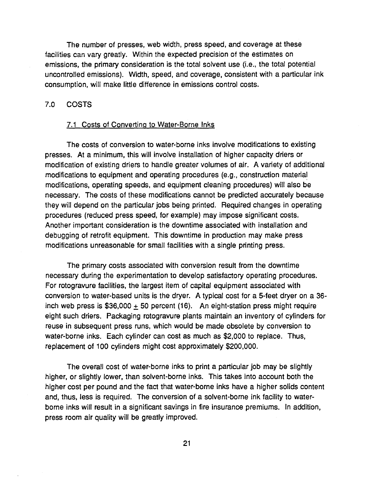The number of presses, web width, press speed, and coverage at these facilities can vary greatly. Within the expected precision of the estimates on emissions, the primary consideration is the total solvent use (i.e., the total potential uncontrolled emissions). Width, speed, and coverage, consistent with a particular ink consumption, will make little difference in emissions control costs.

### 7.0 COSTS

#### 7.1 Costs of Converting to Water-Borne Inks

The costs of conversion to water-borne inks involve modifications to existing presses. At a minimum, this will involve installation of higher capacity driers or modification of existing driers to handle greater volumes of air. A variety of additional modifications to equipment and operating procedures (e.g., construction materia! modifications, operating speeds, and equipment cleaning procedures) will also be necessary. The costs of these modifications cannot be predicted accurately because they will depend on the particular jobs being printed. Required changes in operating procedures (reduced press speed, for example) may impose significant costs. Another important consideration is the downtime associated with installation and debugging of retrofit equipment. This downtime in production may make press modifications unreasonable for small facilities with a single printing press.

The primary costs associated with conversion result from the downtime necessary during the experimentation to develop satisfactory operating procedures. For rotogravure facilities, the largest item of capital equipment associated with conversion to water-based units is the dryer. A typical cost for a 5-feet dryer on a 36 inch web press is  $$36,000 + 50$  percent (16). An eight-station press might require eight such driers. Packaging rotogravure plants maintain an inventory of cylinders for reuse in subsequent press runs, which would be made obsolete by conversion to water-borne inks. Each cylinder can cost as much as \$2,000 to replace. Thus, replacement of 100 cylinders might cost approximately \$200,000.

The overall cost of water-borne inks to print a particular job may be slightly higher, or slightly lower, than solvent-borne inks. This takes into account both the higher cost per pound and the fact that water-borne inks have a higher solids content and, thus, less is required. The conversion of a solvent-borne ink facility to waterborne inks will result in a significant savings in fire insurance premiums. In addition, press room air quality will be greatly improved.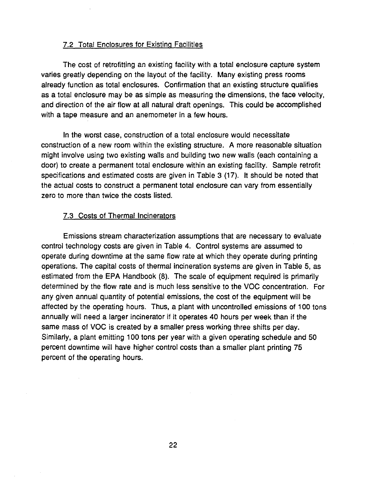### 7.2 Total Enclosures for Existing Facilities

The cost of retrofitting an existing facility with a total enclosure capture system varies greatly depending on the layout of the facility. Many existing press rooms already function as total enclosures. Confirmation that an existing structure qualifies as a total enclosure may be as simple as measuring the dimensions, the face velocity, and direction of the air flow at all natural draft openings. This could be accomplished with a tape measure and an anemometer in a few hours.

In the worst case, construction of a total enclosure would necessitate construction of a new room within the existing structure. A more reasonable situation might involve using two existing walls and building two new walls (each containing a door) to create a permanent total enclosure within an existing facility. Sample retrofit specifications and estimated costs are given in Table 3 (17). It should be noted that the actual costs to construct a permanent total enclosure can vary from essentially zero to more than twice the costs listed.

#### 7.3 Costs of Thermal Incinerators

Emissions stream characterization assumptions that are necessary to evaluate control technology costs are given in Table 4. Control systems are assumed to operate during downtime at the same flow rate at which they operate during printing operations. The capital costs of thermal incineration systems are given in Table 5, as estimated from the EPA Handbook (8). The scale of equipment required is primarily determined by the flow rate and is much less sensitive to the VOC concentration. For any given annual quantity of potential emissions, the cost of the equipment will be affected by the operating hours. Thus, a plant with uncontrolled emissions of 100 tons annually will need a larger incinerator if it operates 40 hours per week than if the same mass of VOC is created by a smaller press working three shifts per day. Similarly, a plant emitting 100 tons per year with a given operating schedule and 50 percent downtime will have higher control costs than a smaller plant printing 75 percent of the operating hours.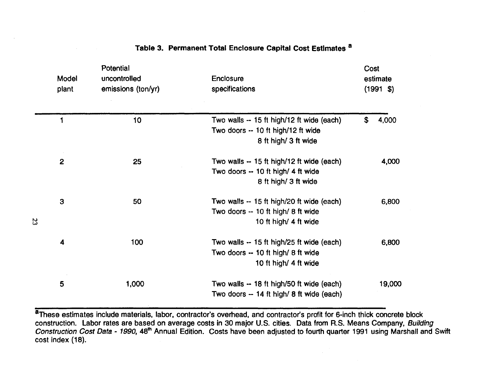| Model<br>plant | Potential<br>uncontrolled<br>emissions (ton/yr) | <b>Enclosure</b><br>specifications                                                                       | Cost<br>estimate<br>$(1991 \; \text{S})$ |
|----------------|-------------------------------------------------|----------------------------------------------------------------------------------------------------------|------------------------------------------|
| 1              | 10                                              | Two walls -- 15 ft high/12 ft wide (each)<br>Two doors -- 10 ft high/12 ft wide<br>8 ft high/ 3 ft wide  | \$<br>4,000                              |
| $\overline{2}$ | 25                                              | Two wails -- 15 ft high/12 ft wide (each)<br>Two doors -- 10 ft high/ 4 ft wide<br>8 ft high/ 3 ft wide  | 4,000                                    |
| 3              | 50                                              | Two walls -- 15 ft high/20 ft wide (each)<br>Two doors -- 10 ft high/ 8 ft wide<br>10 ft high/ 4 ft wide | 6,800                                    |
| 4              | 100                                             | Two walls -- 15 ft high/25 ft wide (each)<br>Two doors -- 10 ft high/ 8 ft wide<br>10 ft high/ 4 ft wide | 6,800                                    |
| 5              | 1,000                                           | Two walls -- 18 ft high/50 ft wide (each)<br>Two doors -- 14 ft high/ 8 ft wide (each)                   | 19,000                                   |

# Table 3. Permanent Total Enclosure Capital Cost Estimates a

<sup>8</sup>These estimates include materials, labor, contractor's overhead, and contractor's profit for 6-inch thick concrete block construction. Labor rates are based on average costs in 30 major U.S. cities. Data from R.S. Means Company, Building Construction Cost Data - 1990, 48<sup>th</sup> Annual Edition. Costs have been adjusted to fourth quarter 1991 using Marshall and Swift cost index (18).

 $\bullet$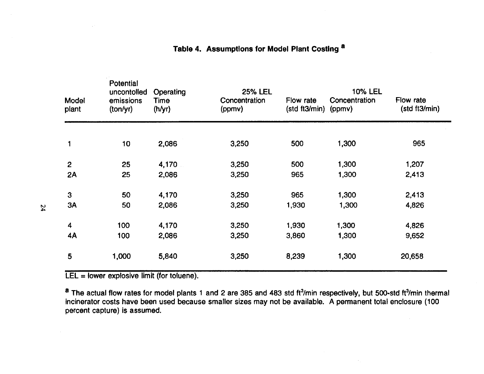| Model<br>plant | Potential<br>uncontolled<br>emissions<br>(ton/yr) | Operating<br>Time<br>(h/yr) | <b>25% LEL</b><br>Concentration<br>(ppmv) | Flow rate<br>(stat3/min) | <b>10% LEL</b><br>Concentration<br>(ppmv) | Flow rate<br>(std ft3/min) |
|----------------|---------------------------------------------------|-----------------------------|-------------------------------------------|--------------------------|-------------------------------------------|----------------------------|
|                | 10                                                | 2,086                       | 3,250                                     | 500                      | 1,300                                     | 965                        |
|                |                                                   |                             |                                           |                          |                                           |                            |
| $\overline{2}$ | 25                                                | 4,170                       | 3,250                                     | 500                      | 1,300                                     | 1,207                      |
| 2A             | 25                                                | 2,086                       | 3,250                                     | 965                      | 1,300                                     | 2,413                      |
| 3              | 50                                                | 4,170                       | 3,250                                     | 965                      | 1,300                                     | 2,413                      |
| 3A             | 50                                                | 2,086                       | 3,250                                     | 1,930                    | 1,300                                     | 4,826                      |
| 4              | 100                                               | 4,170                       | 3,250                                     | 1,930                    | 1,300                                     | 4,826                      |
| 4A             | 100                                               | 2,086                       | 3,250                                     | 3,860                    | 1,300                                     | 9,652                      |
| $5\phantom{1}$ | 1,000                                             | 5,840                       | 3,250                                     | 8,239                    | 1,300                                     | 20,658                     |

# Table 4. Assumptions for Model Plant Costing a

LEL = lower explosive limit (for toluene).

<sup>a</sup> The actual flow rates for model plants 1 and 2 are 385 and 483 std ft<sup>3</sup>/min respectively, but 500-std ft<sup>3</sup>/min thermal incinerator costs have been used because smaller sizes may not be available. A permanent total enclosure (100 percent capture) is assumed.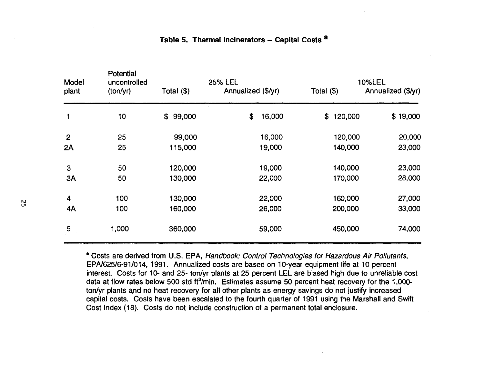|     | Model<br>plant | Potential<br>uncontrolled<br>(ton/yr) | Total $(\$)$ | <b>25% LEL</b><br>Annualized (\$/yr) |        | Total $(\$)$  | <b>10%LEL</b><br>Annualized (\$/yr) |
|-----|----------------|---------------------------------------|--------------|--------------------------------------|--------|---------------|-------------------------------------|
|     |                | 10                                    | 99,000<br>\$ | \$                                   | 16,000 | 120,000<br>\$ | \$19,000                            |
|     | $\overline{2}$ | 25                                    | 99,000       |                                      | 16,000 | 120,000       | 20,000                              |
|     | 2A             | 25                                    | 115,000      |                                      | 19,000 | 140,000       | 23,000                              |
|     | 3              | 50                                    | 120,000      |                                      | 19,000 | 140,000       | 23,000                              |
|     | 3A             | 50                                    | 130,000      |                                      | 22,000 | 170,000       | 28,000                              |
|     | 4              | 100                                   | 130,000      |                                      | 22,000 | 160,000       | 27,000                              |
| ង្ហ | 4A             | 100                                   | 160,000      |                                      | 26,000 | 200,000       | 33,000                              |
|     | 5              | 1,000                                 | 360,000      |                                      | 59,000 | 450,000       | 74,000                              |
|     |                |                                       |              |                                      |        |               |                                     |

## Table 5. Thermal Incinerators -- Capital Costs <sup>a</sup>

•Costs are derived from U.S. EPA, Handbook: Control Technologies for Hazardous Air Pollutants, EPA/625/6-91/014, 1991. Annualized costs are based on 10-year equipment life at 10 percent interest. Costs for 10- and 25- ton/yr plants at 25 percent LEL are biased high due to unreliable cost data at flow rates below 500 std ft<sup>3</sup>/min. Estimates assume 50 percent heat recovery for the 1,000ton/yr plants and no heat recovery for all other plants as energy savings do not justify increased capital costs. Costs have been escalated to the fourth quarter of 1991 using the Marshall and Swift Cost Index (18). Costs do not include construction of a permanent total enclosure.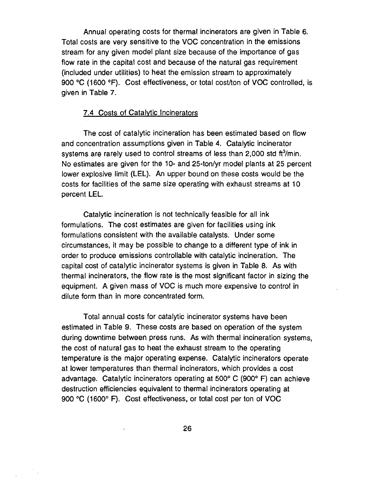Annual operating costs for thermal incinerators are given in Table 6. Total costs are very sensitive to the VOC concentration in the emissions stream for any given model plant size because of the importance of gas flow rate in the capital cost and because of the natural gas requirement (included under utilities) to heat the emission stream to approximately 900 °C (1600 °F). Cost effectiveness, or total cost/ton of VOC controlled, is given in Table 7.

#### 7.4 Costs of Catalytic Incinerators

The cost of catalytic incineration has been estimated based on flow and concentration assumptions given in Table 4. Catalytic incinerator systems are rarely used to control streams of less than 2,000 std  $\text{ft}^3/\text{min}$ . No estimates are given for the 10- and 25-ton/yr model plants at 25 percent lower explosive limit (LEL). An upper bound on these costs would be the costs for facilities of the same size operating with exhaust streams at 10 percent LEL.

Catalytic incineration is not technically feasible for all ink formulations. The cost estimates are given for facilities using ink formulations consistent with the available catalysts. Under some circumstances, it may be possible to change to a different type of ink in order to produce emissions controllable with catalytic incineration. The capital cost of catalytic incinerator systems is given in Table 8. As with thermal incinerators, the flow rate is the most significant factor in sizing the equipment. A given mass of VOC is much more expensive to control in dilute form than in more concentrated form.

Total annual costs for catalytic incinerator systems have been estimated in Table 9. These costs are based on operation of the system during downtime between press runs. As with thermal incineration systems, the cost of natural gas to heat the exhaust stream to the operating temperature is the major operating expense. Catalytic incinerators operate at lower temperatures than thermal incinerators, which provides a cost advantage. Catalytic incinerators operating at 500° C (900° F) can achieve destruction efficiencies equivalent to thermal incinerators operating at 900 °C (1600° F). Cost effectiveness, or total cost per ton of VOC

 $\sim$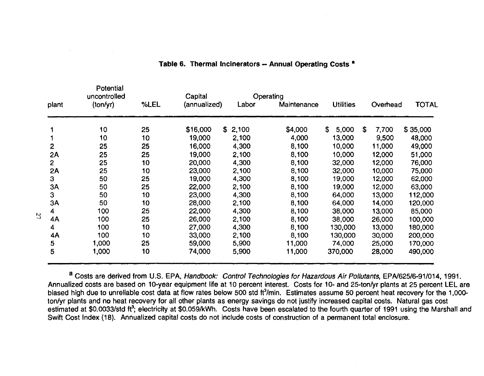|                | Potential<br>uncontrolled |      | Capital      |         | Operating   |                  |              |              |
|----------------|---------------------------|------|--------------|---------|-------------|------------------|--------------|--------------|
| plant          | (ton/yr)                  | %LEL | (annualized) | Labor   | Maintenance | <b>Utilities</b> | Overhead     | <b>TOTAL</b> |
|                | 10                        | 25   | \$16,000     | \$2,100 | \$4,000     | \$<br>5,000      | \$.<br>7,700 | \$35,000     |
|                | 10                        | 10   | 19,000       | 2,100   | 4,000       | 13,000           | 9,500        | 48,000       |
| $\mathbf{2}$   | 25                        | 25   | 16,000       | 4,300   | 8,100       | 10,000           | 11,000       | 49,000       |
| 2A             | 25                        | 25   | 19,000       | 2,100   | 8,100       | 10,000           | 12,000       | 51,000       |
| $\overline{2}$ | 25                        | 10   | 20,000       | 4,300   | 8,100       | 32,000           | 12,000       | 76,000       |
| <b>2A</b>      | 25                        | 10   | 23,000       | 2,100   | 8,100       | 32,000           | 10,000       | 75,000       |
| 3              | 50                        | 25   | 19,000       | 4,300   | 8,100       | 19,000           | 12,000       | 62,000       |
| 3A             | 50                        | 25   | 22,000       | 2,100   | 8,100       | 19,000           | 12,000       | 63,000       |
| $\mathbf{3}$   | 50                        | 10   | 23,000       | 4,300   | 8,100       | 64,000           | 13,000       | 112,000      |
| 3A             | 50                        | 10   | 28,000       | 2,100   | 8,100       | 64,000           | 14,000       | 120,000      |
| 4              | 100                       | 25   | 22,000       | 4,300   | 8,100       | 38,000           | 13,000       | 85,000       |
| 4A             | 100                       | 25   | 26,000       | 2,100   | 8,100       | 38,000           | 26,000       | 100,000      |
| 4              | 100                       | 10   | 27,000       | 4,300   | 8,100       | 130,000          | 13,000       | 180,000      |
| 4A             | 100                       | 10   | 33,000       | 2,100   | 8,100       | 130,000          | 30,000       | 200,000      |
| 5              | 1,000                     | 25   | 59,000       | 5,900   | 11,000      | 74,000           | 25,000       | 170,000      |
| 5              | 1,000                     | 10   | 74,000       | 5,900   | 11,000      | 370,000          | 28,000       | 490,000      |

## Table 6. Thermal Incinerators -- Annual Operating Costs <sup>a</sup>

a Costs are derived from U.S. EPA, Handbook: Control Technologies for Hazardous Air Pollutants, EPA/625/6-91/014, 1991. Annualized costs are based on 10-year equipment life at 10 percent interest. Costs for 10- and 25-ton/yr plants at 25 percent LEL are biased high due to unreliable cost data at flow rates below 500 std ft<sup>3</sup>/min. Estimates assume 50 percent heat recovery for the 1,000ton/yr plants and no heat recovery for all other plants as energy savings do not justify increased capital costs. Natural gas cost estimated at \$0.0033/std ft<sup>3</sup>; electricity at \$0.059/kWh. Costs have been escalated to the fourth quarter of 1991 using the Marshall and Swift Cost Index (18). Annualized capital costs do not include costs of construction of a permanent total enclosure.

Potential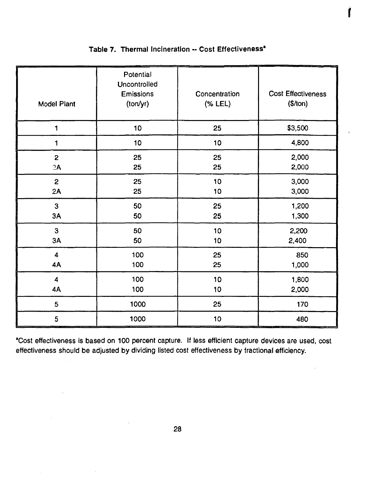| <b>Model Plant</b>      | Potential<br>Uncontrolled<br>Emissions<br>(ton/yr) | Concentration<br>$(% \mathcal{L}_{0})$ (% LEL) | <b>Cost Effectiveness</b><br>(\$/ton) |
|-------------------------|----------------------------------------------------|------------------------------------------------|---------------------------------------|
| 1                       | 10                                                 | 25                                             | \$3,500                               |
| $\blacksquare$          | 10 <sub>1</sub>                                    | 10                                             | 4,800                                 |
| $\overline{2}$          | 25                                                 | 25                                             | 2,000                                 |
| 2A                      | 25                                                 | 25                                             | 2,000                                 |
| $\mathbf{2}$            | 25                                                 | 10                                             | 3,000                                 |
| 2A                      | 25                                                 | 10                                             | 3,000                                 |
| 3                       | 50                                                 | 25                                             | 1,200                                 |
| 3A                      | 50                                                 | 25                                             | 1,300                                 |
| 3                       | 50                                                 | 10                                             | 2,200                                 |
| 3A                      | 50                                                 | 10                                             | 2,400                                 |
| $\overline{\mathbf{4}}$ | 100                                                | 25                                             | 850                                   |
| 4A                      | 100                                                | 25                                             | 1,000                                 |
| $\overline{\mathbf{4}}$ | 100                                                | 10                                             | 1,800                                 |
| 4A                      | 100                                                | 10                                             | 2,000                                 |
| 5                       | 1000                                               | 25                                             | 170                                   |
| 5                       | 1000                                               | 10                                             | 480                                   |

# Table 7. Thermal Incineration -- Cost Effectiveness<sup>\*</sup>

 $\mathbf{r}$ 

•cost effectiveness is based on 100 percent capture. If less efficient capture devices are used, cost effectiveness should be adjusted by dividing listed cost effectiveness by fractional efficiency.

 $\mathbf{r}$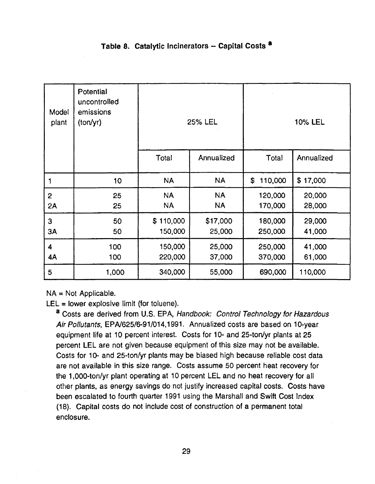## Table 8. Catalytic Incinerators - Capital Costs <sup>8</sup>

| Model<br>plant       | Potential<br>uncontrolled<br>emissions<br>(tony) |                        | <b>25% LEL</b>         | 10% LEL            |                  |  |
|----------------------|--------------------------------------------------|------------------------|------------------------|--------------------|------------------|--|
|                      |                                                  | Total                  | Annualized             | Total              | Annualized       |  |
| 1                    | 10                                               | <b>NA</b>              | <b>NA</b>              | 110,000<br>\$      | \$17,000         |  |
| $\overline{2}$<br>2A | 25<br>25                                         | <b>NA</b><br><b>NA</b> | <b>NA</b><br><b>NA</b> | 120,000<br>170,000 | 20,000<br>28,000 |  |
| 3<br>3A              | 50<br>50                                         | \$110,000<br>150,000   | \$17,000<br>25,000     | 180,000<br>250,000 | 29,000<br>41,000 |  |
| 4<br>4A              | 100<br>100                                       | 150,000<br>220,000     | 25,000<br>37,000       | 250,000<br>370,000 | 41,000<br>61,000 |  |
| 5                    | 1,000                                            | 340,000                | 55,000                 | 690,000            | 110,000          |  |

 $NA = Not Appliedble.$ 

 $LEL =$  lower explosive limit (for toluene).

a Costs are derived from U.S. EPA, Handbook: Control Technology for Hazardous Air Pollutants, EPN625/6-91/014,1991. Annualized costs are based on 10-year equipment life at 10 percent interest. Costs for 10- and 25-ton/yr plants at 25 percent LEL are not given because equipment of this size may not be available. Costs for 10- and 25-ton/yr plants may be biased high because reliable cost data are not available in this size range. Costs assume 50 percent heat recovery for the 1,000-ton/yr plant operating at 10 percent LEL and no heat recovery for all other plants, as energy savings do not justify increased capital costs. Costs have been escalated to fourth quarter 1991 using the Marshall and Swift Cost Index (18). Capital costs do not include cost of construction of a permanent total enclosure.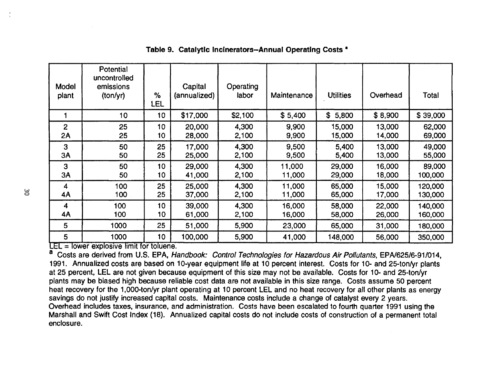| Model<br>plant | Potential<br>uncontrolled<br>emissions<br>(ton/yr) | %<br>LEL        | Capital<br>(annualized) | Operating<br>labor | Maintenance | <b>Utilities</b> | Overhead | Total    |
|----------------|----------------------------------------------------|-----------------|-------------------------|--------------------|-------------|------------------|----------|----------|
|                | 10 <sub>1</sub>                                    | 10 <sub>1</sub> | \$17,000                | \$2,100            | \$5,400     | \$<br>5,800      | \$8,900  | \$39,000 |
| $\overline{2}$ | 25                                                 | 10              | 20,000                  | 4,300              | 9,900       | 15,000           | 13,000   | 62,000   |
| 2Α             | 25                                                 | 10              | 28,000                  | 2,100              | 9,900       | 15,000           | 14,000   | 69,000   |
| 3              | 50                                                 | 25              | 17,000                  | 4,300              | 9,500       | 5,400            | 13,000   | 49,000   |
| 3A             | 50                                                 | 25              | 25,000                  | 2,100              | 9,500       | 5,400            | 13,000   | 55,000   |
| 3              | 50                                                 | 10              | 29,000                  | 4,300              | 11,000      | 29,000           | 16,000   | 89,000   |
| 3A             | 50                                                 | 10              | 41,000                  | 2,100              | 11,000      | 29,000           | 18,000   | 100,000  |
| 4              | 100                                                | 25              | 25,000                  | 4,300              | 11,000      | 65,000           | 15,000   | 120,000  |
| 4A             | 100                                                | 25              | 37,000                  | 2,100              | 11,000      | 65,000           | 17,000   | 130,000  |
| 4              | 100                                                | 10              | 39,000                  | 4,300              | 16,000      | 58,000           | 22,000   | 140,000  |
| 4A             | 100                                                | 10              | 61,000                  | 2,100              | 16,000      | 58,000           | 26,000   | 160,000  |
| 5              | 1000                                               | 25              | 51,000                  | 5,900              | 23,000      | 65,000           | 31,000   | 180,000  |
| 5              | 1000                                               | 10              | 100,000                 | 5,900              | 41,000      | 148,000          | 56,000   | 350,000  |

## Table 9. Catalytic Incinerators-Annual Operating Costs •

 $LEL =$  lower explosive limit for toluene.

<sup>8</sup> Costs are derived from U.S. EPA, Handbook: Control Technologies for Hazardous Air Pollutants, EPA/625/6-91/014, 1991. Annualized costs are based on 10-year equipment life at 10 percent interest. Costs for 10- and 25-ton/yr plants at 25 percent, LEL are not given because equipment of this size may not be available. Costs for 10- and 25-ton/yr plants may be biased high because reliable cost data are not available in this size range. Costs assume 50 percent heat recovery for the 1,000-ton/yr plant operating at 10 percent LEL and no heat recovery for all other plants as energy savings do not justify increased capital costs. Maintenance costs include a change of catalyst every 2 years. Overhead includes taxes, insurance, and administration. Costs have been escalated to fourth quarter 1991 using the Marshall and Swift Cost Index (18). Annualized capital costs do not include costs of construction of a permanent total enclosure.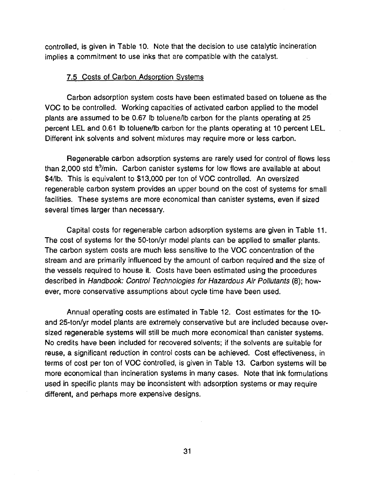controlled, is given in Table 10. Note that the decision to use catalytic incineration implies a commitment to use inks that are compatible with the catalyst.

#### 7.5 Costs of Carbon Adsorption Systems

Carbon adsorption system costs have been estimated based on toluene as the voe to be controlled. Working capacities of activated carbon applied to the model plants are assumed to be 0.67 lb toluene/lb carbon for the plants operating at 25 percent LEL and 0.61 lb toluene/lb carbon for the plants operating at 10 percent LEL. Different ink solvents and solvent mixtures may require more or less carbon.

Regenerable carbon adsorption systems are rarely used for control of flows less than 2,000 std  $\text{ft}^3/\text{min}$ . Carbon canister systems for low flows are available at about \$4/lb. This is equivalent to \$13,000 per ton of VOC controlled. An oversized regenerable carbon system provides an upper bound on the cost of systems for small facilities. These systems are more economical than canister systems, even if sized several times larger than necessary.

Capital costs for regenerable carbon adsorption systems are given in Table 11. The cost of systems for the 50-ton/yr model plants can be applied to smaller plants. The carbon system costs are much less sensitive to the VOC concentration of the stream and are primarily influenced by the amount of carbon required and the size of the vessels required to house it. Costs have been estimated using the procedures described in Handbook: Control Technologies for Hazardous Air Pollutants (8); however, more conservative assumptions about cycle time have been used.

Annual operating costs are estimated in Table 12. Cost estimates for the 10 and 25-ton/yr model plants are extremely conservative but are included because oversized regenerable systems will still be much more economical than canister systems. No credits have been included for recovered solvents; if the solvents are suitable for reuse, a significant reduction in control costs can be achieved. Cost effectiveness, in terms of cost per ton of VOC controlled, is given in Table 13. Carbon systems will be more economical than incineration systems in many cases. Note that ink formulations used in specific plants may be inconsistent with adsorption systems or may require different, and perhaps more expensive designs.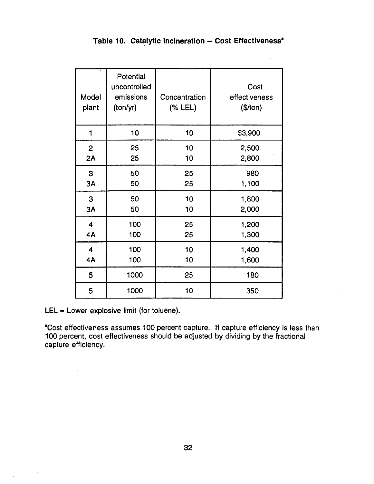|  |  |  |  | Table 10. Catalytic Incineration -- Cost Effectiveness <sup>*</sup> |
|--|--|--|--|---------------------------------------------------------------------|
|--|--|--|--|---------------------------------------------------------------------|

| Model<br>plant          | Potential<br>uncontrolled<br>emissions<br>(ton/yr) | Concentration<br>(% LEL) | Cost<br>effectiveness<br>(\$/ton) |
|-------------------------|----------------------------------------------------|--------------------------|-----------------------------------|
| 1                       | 10                                                 | 10                       | \$3,900                           |
| $\overline{2}$          | 25                                                 | 10                       | 2,500                             |
| 2A                      | 25                                                 | 10                       | 2,800                             |
| 3                       | 50                                                 | 25                       | 980                               |
| 3A                      | 50                                                 | 25                       | 1,100                             |
| 3                       | 50                                                 | 10                       | 1,800                             |
| 3A                      | 50                                                 | 10                       | 2,000                             |
| $\overline{\mathbf{4}}$ | 100                                                | 25                       | 1,200                             |
| 4A                      | 100                                                | 25                       | 1,300                             |
| 4                       | 100                                                | 10                       | 1,400                             |
| 4A                      | 100                                                | 10                       | 1,600                             |
| 5                       | 1000                                               | 25                       | 180                               |
| 5                       | 1000                                               | 10                       | 350                               |

LEL = Lower explosive limit (for toluene).

 $\sim$ 

-Cost effectiveness assumes 100 percent capture. If capture efficiency is less than 100 percent, cost effectiveness should be adjusted by dividing by the fractional capture efficiency.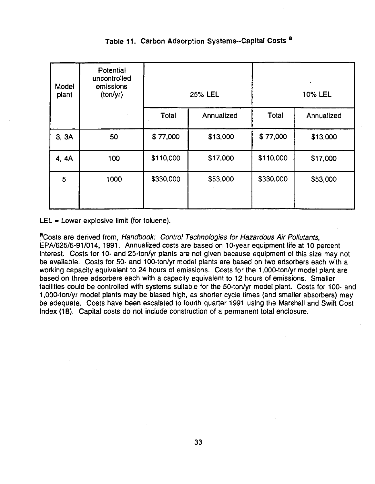| Model<br>plant | Potential<br>uncontrolled<br>emissions<br>(tonyr) |           | 25% LEL    | 10% LEL   |            |  |
|----------------|---------------------------------------------------|-----------|------------|-----------|------------|--|
|                |                                                   | Total     | Annualized | Total     | Annualized |  |
| 3, 3A          | 50                                                | \$77,000  | \$13,000   | \$77,000  | \$13,000   |  |
| 4, 4A          | 100                                               | \$110,000 | \$17,000   | \$110,000 | \$17,000   |  |
| 5              | 1000                                              | \$330,000 | \$53,000   | \$330,000 | \$53,000   |  |

## Table 11. Carbon Adsorption Systems--Capital Costs <sup>8</sup>

LEL =Lower explosive limit (for toluene).

<sup>a</sup>Costs are derived from, Handbook: Control Technologies for Hazardous Air Pollutants, EPA/625/6-91/014, 1991. Annualized costs are based on 10-year equipment life at 10 percent interest. Costs for 10- and 25-ton/yr plants are not given because equipment of this size may not be available. Costs for 50- and 100-ton/yr model plants are based on two adsorbers each with a working capacity equivalent to 24 hours of emissions. Costs for the 1,000-ton/yr model plant are based on three adsorbers each with a capacity equivalent to 12 hours of emissions. Smaller facilities could be controlled with systems suitable for the 50-ton/yr model plant. Costs for 100- and 1,000-ton/yr model plants may be biased high, as shorter cycle times (and smaller absorbers) may be adequate. Costs have been escalated to fourth quarter 1991 using the Marshall and Swift Cost Index (18). Capital costs do not include construction of a permanent total enclosure.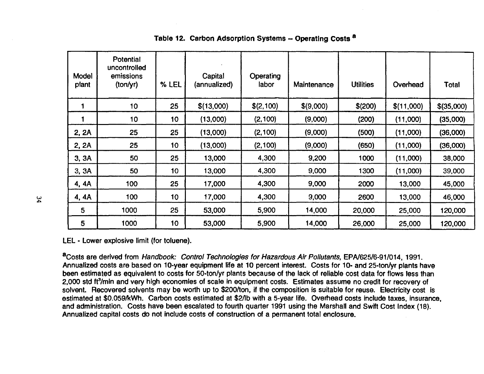| Model<br>plant | Potential<br>uncontrolled<br>emissions<br>(ton/yr) | % LEL           | Capital<br>(annualized) | Operating<br>labor | Maintenance | <b>Utilities</b> | Overhead   | Total        |
|----------------|----------------------------------------------------|-----------------|-------------------------|--------------------|-------------|------------------|------------|--------------|
|                | 10                                                 | 25              | \$(13,000)              | \$(2,100)          | \$(9,000)   | \$(200)          | \$(11,000) | $$$ (35,000) |
|                | 10                                                 | 10 <sub>1</sub> | (13,000)                | (2, 100)           | (9,000)     | (200)            | (11,000)   | (35,000)     |
| 2, 2A          | 25                                                 | 25              | (13,000)                | (2, 100)           | (9,000)     | (500)            | (11,000)   | (36,000)     |
| 2, 2A          | 25                                                 | 10 <sub>1</sub> | (13,000)                | (2,100)            | (9,000)     | (650)            | (11,000)   | (36,000)     |
| 3, 3A          | 50                                                 | 25              | 13,000                  | 4,300              | 9,200       | 1000             | (11,000)   | 38,000       |
| 3, 3A          | 50                                                 | 10 <sub>1</sub> | 13,000                  | 4,300              | 9,000       | 1300             | (11,000)   | 39,000       |
| 4, 4A          | 100                                                | 25              | 17,000                  | 4,300              | 9,000       | 2000             | 13,000     | 45,000       |
| 4, 4A          | 100                                                | 10              | 17,000                  | 4,300              | 9,000       | 2600             | 13,000     | 46,000       |
| 5              | 1000                                               | 25              | 53,000                  | 5,900              | 14,000      | 20,000           | 25,000     | 120,000      |
| 5              | 1000                                               | 10              | 53,000                  | 5,900              | 14,000      | 26,000           | 25,000     | 120,000      |

## Table 12. Carbon Adsorption Systems - Operating Costs <sup>a</sup>

LEL • Lower explosive limit (for toluene).

<sup>8</sup>Costs are derived from Handbook: Control Technologies for Hazardous Air Pollutants, EPN625/6-91/014, 1991. Annualized costs are based on 10-year equipment life at 10 percent interest. Costs for 10· and 25-ton/yr plants have been estimated as equivalent to costs for 50-ton/yr plants because of the lack of reliable cost data for flows less than 2,000 std ft<sup>3</sup>/min and very high economies of scale in equipment costs. Estimates assume no credit for recovery of solvent. Recovered solvents may be worth up to \$200/ton, if the composition is suitable for reuse. Electricity cost is estimated at \$0.059/kWh. Carbon costs estimated at \$2/lb with a 5-year life. Overhead costs include taxes, insurance, and administration. Costs have been escalated to fourth quarter 1991 using the Marshall and Swift Cost Index (18). Annualized capital costs do not include costs of construction of a permanent total enclosure.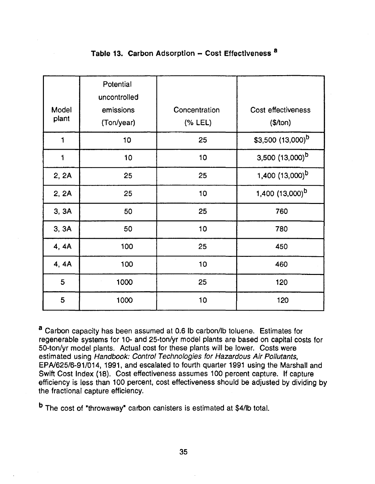|                | Potential<br>uncontrolled |                          |                                |
|----------------|---------------------------|--------------------------|--------------------------------|
| Model<br>plant | emissions<br>(Ton/year)   | Concentration<br>(% LEL) | Cost effectiveness<br>(\$/ton) |
| 1              | 10                        | 25                       | \$3,500 $(13,000)^b$           |
| 1              | 10                        | 10                       | $3,500$ $(13,000)^b$           |
| 2, 2A          | 25                        | 25                       | 1,400 $(13,000)^b$             |
| 2, 2A          | 25                        | 10                       | 1,400 $(13,000)^b$             |
| 3, 3A          | 50                        | 25                       | 760                            |
| 3, 3A          | 50                        | 10                       | 780                            |
| 4, 4A          | 100                       | 25                       | 450                            |
| 4, 4A          | 100                       | 10                       | 460                            |
| 5              | 1000                      | 25                       | 120                            |
| 5              | 1000                      | 10                       | 120                            |

## Table 13. Carbon Adsorption - Cost Effectiveness a

a Carbon capacity has been assumed at 0.6 lb carbon/lb toluene. Estimates for regenerable systems for 10- and 25-ton/yr model plants are based on capital costs for 50-ton/yr model plants. Actual cost for these plants will be lower. Costs were estimated using Handbook: Control Technologies for Hazardous Air Pollutants, EPA/625/6-91/014, 1991, and escalated to fourth quarter 1991 using the Marshall and Swift Cost Index (18}. Cost effectiveness assumes 100 percent capture. If capture efficiency is less than 100 percent, cost effectiveness should be adjusted by dividing by the fractional capture efficiency.

b The cost of "throwaway• carbon canisters is estimated at \$4/lb total.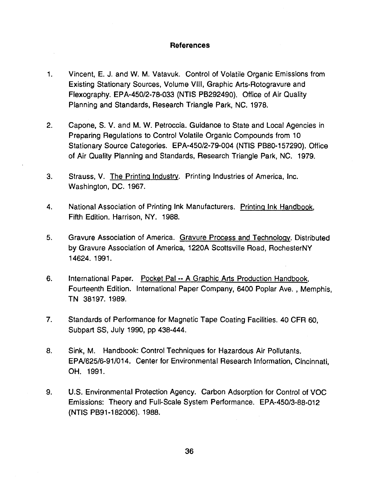### References

- 1. Vincent, E. J. and W. M. Vatavuk. Control of Volatile Organic Emissions from Existing Stationary Sources, Volume VIII, Graphic Arts-Rotogravure and Flexography. EPA-450/2-78-033 (NTIS PB292490). Office of Air Quality Planning and Standards, Research Triangle Park, NC. 1978.
- 2. Capone, S. V. and M. W. Petroccia. Guidance to State and Local Agencies in Preparing Regulations to Control Volatile Organic Compounds from 10 Stationary Source Categories. EPA-450/2-79-004 (NTIS PB80-157290). Office of Air Quality Planning and Standards, Research Triangle Park, NC. 1979.
- 3. Strauss, V. The Printing Industry. Printing Industries of America, Inc. Washington, DC. 1967.
- 4. National Association of Printing Ink Manufacturers. Printing Ink Handbook, Fifth Edition. Harrison, NY. 1988.
- 5. Gravure Association of America. Gravure Process and Technology. Distributed by Gravure Association of America, 1220A Scottsville Road, RochesterNY 14624. 1991.
- 6. International Paper. Pocket Pal -- A Graphic Arts Production Handbook, Fourteenth Edition. International Paper Company, 6400 Poplar Ave. , Memphis, TN 38197. 1989.
- 7. Standards of Performance for Magnetic Tape Coating Facilities. 40 CFR 60, Subpart SS, July 1990, pp 438-444.
- 8. Sink, M. Handbook: Control Techniques for Hazardous Air Pollutants. EPN625/6-91/014. Center for Environmental Research Information, Cincinnati, OH. 1991.
- 9. U.S. Environmental Protection Agency. Carbon Adsorption for Control of VOC Emissions: Theory and Full-Scale System Performance. EPA-450/3-88-012 (NTIS PB91-182006). 1988.